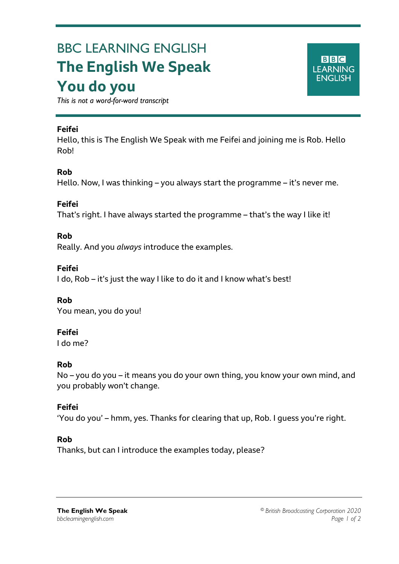# BBC LEARNING ENGLISH **The English We Speak You do you**

*This is not a word-for-word transcript*

#### **Feifei**

Ξ

Hello, this is The English We Speak with me Feifei and joining me is Rob. Hello Rob!

## **Rob**

Hello. Now, I was thinking – you always start the programme – it's never me.

#### **Feifei**

That's right. I have always started the programme – that's the way I like it!

#### **Rob**

Really. And you *always* introduce the examples.

#### **Feifei**

I do, Rob – it's just the way I like to do it and I know what's best!

## **Rob**

You mean, you do you!

## **Feifei**

I do me?

## **Rob**

No – you do you – it means you do your own thing, you know your own mind, and you probably won't change.

## **Feifei**

'You do you' – hmm, yes. Thanks for clearing that up, Rob. I guess you're right.

#### **Rob**

Thanks, but can I introduce the examples today, please?